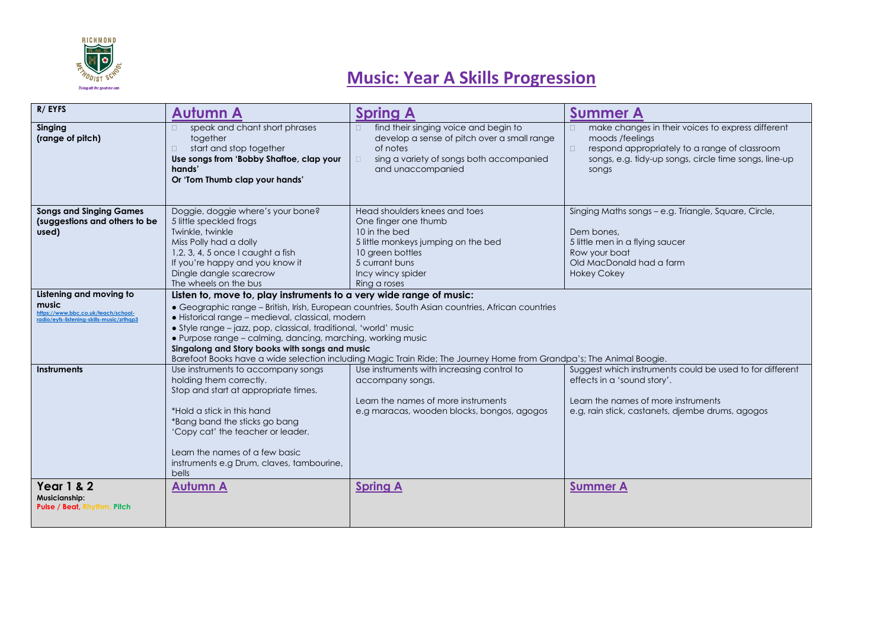

| R/EYFS                                                                                                              | <b>Autumn A</b>                                                                                                                                                                                                                                                                                              | <b>Spring A</b>                                                                                                                                                                                                           | <b>Summer A</b>                                                                                                                                                                                             |
|---------------------------------------------------------------------------------------------------------------------|--------------------------------------------------------------------------------------------------------------------------------------------------------------------------------------------------------------------------------------------------------------------------------------------------------------|---------------------------------------------------------------------------------------------------------------------------------------------------------------------------------------------------------------------------|-------------------------------------------------------------------------------------------------------------------------------------------------------------------------------------------------------------|
| Singing<br>(range of pitch)                                                                                         | speak and chant short phrases<br>$\Box$<br>together<br>start and stop together<br>$\Box$<br>Use songs from 'Bobby Shaftoe, clap your<br>hands'<br>Or 'Tom Thumb clap your hands'                                                                                                                             | find their singing voice and begin to<br>$\Box$<br>develop a sense of pitch over a small range<br>of notes<br>sing a variety of songs both accompanied<br>$\Box$<br>and unaccompanied                                     | make changes in their voices to express different<br>$\Box$<br>moods /feelings<br>$\Box$<br>respond appropriately to a range of classroom<br>songs, e.g. tidy-up songs, circle time songs, line-up<br>songs |
| <b>Songs and Singing Games</b><br>(suggestions and others to be<br>used)                                            | Doggie, doggie where's your bone?<br>5 little speckled frogs<br>Twinkle, twinkle<br>Miss Polly had a dolly<br>$1, 2, 3, 4, 5$ once I caught a fish<br>If you're happy and you know it<br>Dingle dangle scarecrow<br>The wheels on the bus                                                                    | Head shoulders knees and toes<br>One finger one thumb<br>10 in the bed<br>5 little monkeys jumping on the bed<br>10 green bottles<br>5 currant buns<br>Incy wincy spider<br>Ring a roses                                  | Singing Maths songs - e.g. Triangle, Square, Circle,<br>Dem bones,<br>5 little men in a flying saucer<br>Row your boat<br>Old MacDonald had a farm<br><b>Hokey Cokey</b>                                    |
| Listening and moving to<br>music<br>https://www.bbc.co.uk/teach/school-<br>radio/eyfs-listening-skills-music/zrthqp | Listen to, move to, play instruments to a very wide range of music:<br>· Historical range - medieval, classical, modern<br>· Style range - jazz, pop, classical, traditional, 'world' music<br>. Purpose range - calming, dancing, marching, working music<br>Singalong and Story books with songs and music | • Geographic range – British, Irish, European countries, South Asian countries, African countries<br>Barefoot Books have a wide selection including Magic Train Ride; The Journey Home from Grandpa's; The Animal Boogie. |                                                                                                                                                                                                             |
| <b>Instruments</b>                                                                                                  | Use instruments to accompany songs<br>holding them correctly.<br>Stop and start at appropriate times.<br>*Hold a stick in this hand<br>*Bang band the sticks go bang<br>'Copy cat' the teacher or leader.<br>Learn the names of a few basic<br>instruments e.g Drum, claves, tambourine,<br>bells            | Use instruments with increasing control to<br>accompany songs.<br>Learn the names of more instruments<br>e.g maracas, wooden blocks, bongos, agogos                                                                       | Suggest which instruments could be used to for different<br>effects in a 'sound story'.<br>Learn the names of more instruments<br>e.g, rain stick, castanets, djembe drums, agogos                          |
| <b>Year 1 &amp; 2</b><br><b>Musicianship:</b><br><b>Pulse / Beat, Rhythm, Pitch</b>                                 | <b>Autumn A</b>                                                                                                                                                                                                                                                                                              | <b>Spring A</b>                                                                                                                                                                                                           | <b>Summer A</b>                                                                                                                                                                                             |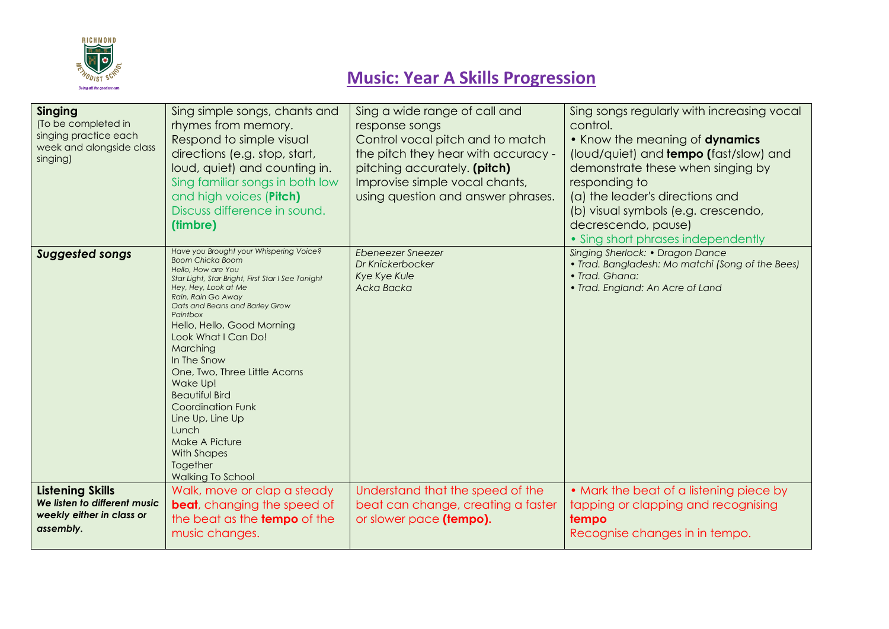

| Singing<br>(To be completed in<br>singing practice each<br>week and alongside class<br>singing)   | Sing simple songs, chants and<br>rhymes from memory.<br>Respond to simple visual<br>directions (e.g. stop, start,<br>loud, quiet) and counting in.<br>Sing familiar songs in both low<br>and high voices (Pitch)<br>Discuss difference in sound.<br>(timbre)                                                                                                                                                                                                                                                                             | Sing a wide range of call and<br>response songs<br>Control vocal pitch and to match<br>the pitch they hear with accuracy -<br>pitching accurately. (pitch)<br>Improvise simple vocal chants,<br>using question and answer phrases. | Sing songs regularly with increasing vocal<br>control.<br>• Know the meaning of dynamics<br>(loud/quiet) and tempo (fast/slow) and<br>demonstrate these when singing by<br>responding to<br>(a) the leader's directions and<br>(b) visual symbols (e.g. crescendo,<br>decrescendo, pause)<br>• Sing short phrases independently |
|---------------------------------------------------------------------------------------------------|------------------------------------------------------------------------------------------------------------------------------------------------------------------------------------------------------------------------------------------------------------------------------------------------------------------------------------------------------------------------------------------------------------------------------------------------------------------------------------------------------------------------------------------|------------------------------------------------------------------------------------------------------------------------------------------------------------------------------------------------------------------------------------|---------------------------------------------------------------------------------------------------------------------------------------------------------------------------------------------------------------------------------------------------------------------------------------------------------------------------------|
| <b>Suggested songs</b>                                                                            | Have you Brought your Whispering Voice?<br><b>Boom Chicka Boom</b><br>Hello, How are You<br>Star Light, Star Bright, First Star I See Tonight<br>Hey, Hey, Look at Me<br>Rain, Rain Go Away<br>Oats and Beans and Barley Grow<br>Paintbox<br>Hello, Hello, Good Morning<br>Look What I Can Do!<br>Marching<br>In The Snow<br>One, Two, Three Little Acorns<br>Wake Up!<br><b>Beautiful Bird</b><br><b>Coordination Funk</b><br>Line Up, Line Up<br>Lunch<br><b>Make A Picture</b><br>With Shapes<br>Together<br><b>Walking To School</b> | Ebeneezer Sneezer<br>Dr Knickerbocker<br>Kye Kye Kule<br>Acka Backa                                                                                                                                                                | Singing Sherlock: • Dragon Dance<br>• Trad. Bangladesh: Mo matchi (Song of the Bees)<br>· Trad. Ghana:<br>· Trad. England: An Acre of Land                                                                                                                                                                                      |
| <b>Listening Skills</b><br>We listen to different music<br>weekly either in class or<br>assembly. | Walk, move or clap a steady<br><b>beat</b> , changing the speed of<br>the beat as the <b>tempo</b> of the<br>music changes.                                                                                                                                                                                                                                                                                                                                                                                                              | Understand that the speed of the<br>beat can change, creating a faster<br>or slower pace (tempo).                                                                                                                                  | • Mark the beat of a listening piece by<br>tapping or clapping and recognising<br>tempo<br>Recognise changes in in tempo.                                                                                                                                                                                                       |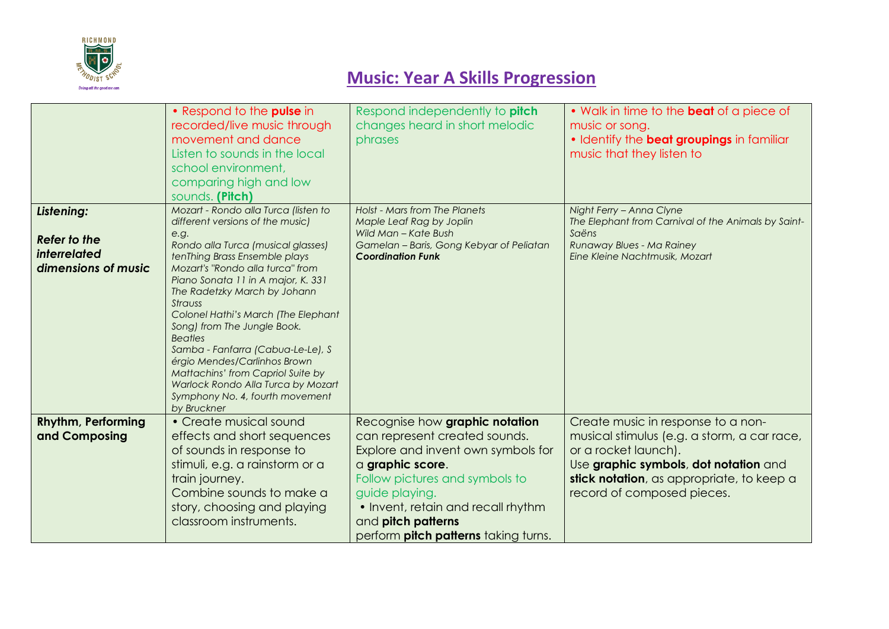

|                                                                          | • Respond to the pulse in<br>recorded/live music through<br>movement and dance<br>Listen to sounds in the local<br>school environment,<br>comparing high and low<br>sounds. (Pitch)                                                                                                                                                                                                                                                                                                                                                                                    | Respond independently to pitch<br>changes heard in short melodic<br>phrases                                                                                                                                                                                                              | • Walk in time to the <b>beat</b> of a piece of<br>music or song.<br>. Identify the beat groupings in familiar<br>music that they listen to                                                                                   |
|--------------------------------------------------------------------------|------------------------------------------------------------------------------------------------------------------------------------------------------------------------------------------------------------------------------------------------------------------------------------------------------------------------------------------------------------------------------------------------------------------------------------------------------------------------------------------------------------------------------------------------------------------------|------------------------------------------------------------------------------------------------------------------------------------------------------------------------------------------------------------------------------------------------------------------------------------------|-------------------------------------------------------------------------------------------------------------------------------------------------------------------------------------------------------------------------------|
| Listening:<br><b>Refer to the</b><br>interrelated<br>dimensions of music | Mozart - Rondo alla Turca (listen to<br>different versions of the music)<br>e.g.<br>Rondo alla Turca (musical glasses)<br>tenThing Brass Ensemble plays<br>Mozart's "Rondo alla turca" from<br>Piano Sonata 11 in A major, K. 331<br>The Radetzky March by Johann<br>Strauss<br>Colonel Hathi's March (The Elephant<br>Song) from The Jungle Book.<br><b>Beatles</b><br>Samba - Fanfarra (Cabua-Le-Le), S<br>érgio Mendes/Carlinhos Brown<br>Mattachins' from Capriol Suite by<br>Warlock Rondo Alla Turca by Mozart<br>Symphony No. 4, fourth movement<br>by Bruckner | Holst - Mars from The Planets<br>Maple Leaf Rag by Joplin<br>Wild Man - Kate Bush<br>Gamelan - Baris, Gong Kebyar of Peliatan<br><b>Coordination Funk</b>                                                                                                                                | Night Ferry - Anna Clyne<br>The Elephant from Carnival of the Animals by Saint-<br>Saëns<br>Runaway Blues - Ma Rainey<br>Eine Kleine Nachtmusik, Mozart                                                                       |
| <b>Rhythm, Performing</b><br>and Composing                               | • Create musical sound<br>effects and short sequences<br>of sounds in response to<br>stimuli, e.g. a rainstorm or a<br>train journey.<br>Combine sounds to make a<br>story, choosing and playing<br>classroom instruments.                                                                                                                                                                                                                                                                                                                                             | Recognise how graphic notation<br>can represent created sounds.<br>Explore and invent own symbols for<br>a graphic score.<br>Follow pictures and symbols to<br>guide playing.<br>• Invent, retain and recall rhythm<br>and pitch patterns<br>perform <b>pitch patterns</b> taking turns. | Create music in response to a non-<br>musical stimulus (e.g. a storm, a car race,<br>or a rocket launch).<br>Use graphic symbols, dot notation and<br>stick notation, as appropriate, to keep a<br>record of composed pieces. |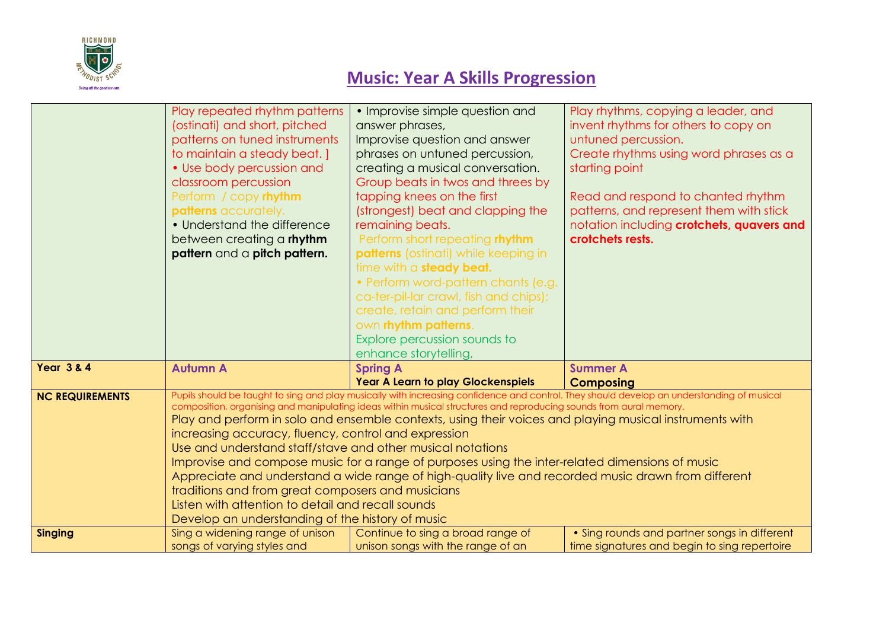

|                        | Play repeated rhythm patterns<br>(ostinati) and short, pitched<br>patterns on tuned instruments<br>to maintain a steady beat. 1<br>• Use body percussion and<br>classroom percussion<br>Perform / copy rhythm<br>patterns accurately.<br>• Understand the difference<br>between creating a rhythm<br>pattern and a pitch pattern. | • Improvise simple question and<br>answer phrases,<br>Improvise question and answer<br>phrases on untuned percussion,<br>creating a musical conversation.<br>Group beats in twos and threes by<br>tapping knees on the first<br>(strongest) beat and clapping the<br>remaining beats.<br>Perform short repeating rhythm<br><b>patterns</b> (ostinati) while keeping in<br>time with a <b>steady beat.</b><br>• Perform word-pattern chants (e.g.<br>ca-ter-pil-lar crawl, fish and chips);<br>create, retain and perform their<br>own rhythm patterns. | Play rhythms, copying a leader, and<br>invent rhythms for others to copy on<br>untuned percussion.<br>Create rhythms using word phrases as a<br>starting point<br>Read and respond to chanted rhythm<br>patterns, and represent them with stick<br>notation including crotchets, quavers and<br>crotchets rests. |
|------------------------|-----------------------------------------------------------------------------------------------------------------------------------------------------------------------------------------------------------------------------------------------------------------------------------------------------------------------------------|--------------------------------------------------------------------------------------------------------------------------------------------------------------------------------------------------------------------------------------------------------------------------------------------------------------------------------------------------------------------------------------------------------------------------------------------------------------------------------------------------------------------------------------------------------|------------------------------------------------------------------------------------------------------------------------------------------------------------------------------------------------------------------------------------------------------------------------------------------------------------------|
|                        |                                                                                                                                                                                                                                                                                                                                   | Explore percussion sounds to<br>enhance storytelling,                                                                                                                                                                                                                                                                                                                                                                                                                                                                                                  |                                                                                                                                                                                                                                                                                                                  |
| <b>Year 3 &amp; 4</b>  | <b>Autumn A</b>                                                                                                                                                                                                                                                                                                                   | <b>Spring A</b><br><b>Year A Learn to play Glockenspiels</b>                                                                                                                                                                                                                                                                                                                                                                                                                                                                                           | <b>Summer A</b><br><b>Composing</b>                                                                                                                                                                                                                                                                              |
| <b>NC REQUIREMENTS</b> | increasing accuracy, fluency, control and expression<br>Use and understand staff/stave and other musical notations<br>traditions and from great composers and musicians<br>Listen with attention to detail and recall sounds<br>Develop an understanding of the history of music                                                  | composition, organising and manipulating ideas within musical structures and reproducing sounds from aural memory.<br>Play and perform in solo and ensemble contexts, using their voices and playing musical instruments with<br>Improvise and compose music for a range of purposes using the inter-related dimensions of music<br>Appreciate and understand a wide range of high-quality live and recorded music drawn from different                                                                                                                | Pupils should be taught to sing and play musically with increasing confidence and control. They should develop an understanding of musical                                                                                                                                                                       |
| <b>Singing</b>         | Sing a widening range of unison<br>songs of varying styles and                                                                                                                                                                                                                                                                    | Continue to sing a broad range of<br>unison songs with the range of an                                                                                                                                                                                                                                                                                                                                                                                                                                                                                 | • Sing rounds and partner songs in different<br>time signatures and begin to sing repertoire                                                                                                                                                                                                                     |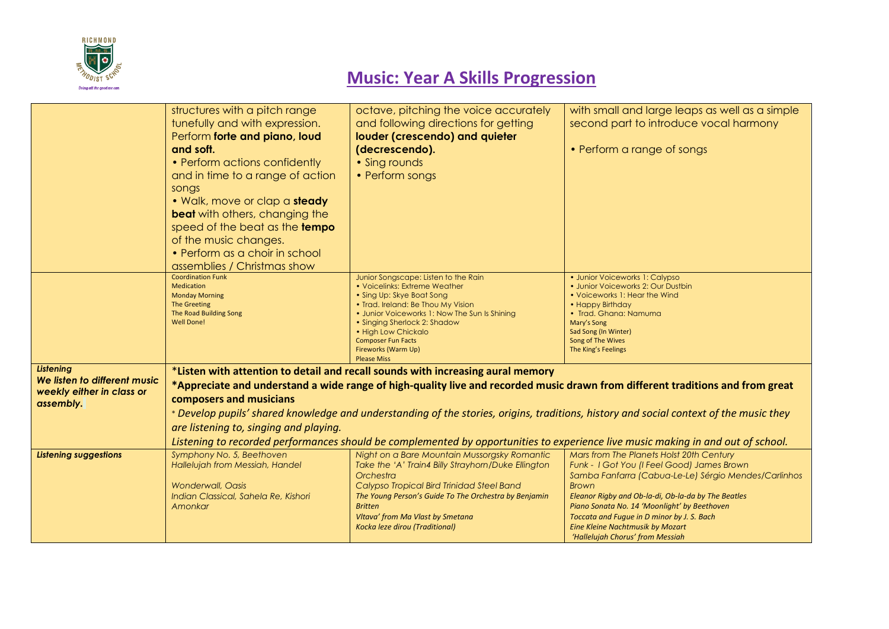

|                                           | structures with a pitch range          | octave, pitching the voice accurately                                           | with small and large leaps as well as a simple                                                                                         |
|-------------------------------------------|----------------------------------------|---------------------------------------------------------------------------------|----------------------------------------------------------------------------------------------------------------------------------------|
|                                           | tunefully and with expression.         | and following directions for getting                                            | second part to introduce vocal harmony                                                                                                 |
|                                           | Perform forte and piano, loud          | louder (crescendo) and quieter                                                  |                                                                                                                                        |
|                                           | and soft.                              | (decrescendo).                                                                  | • Perform a range of songs                                                                                                             |
|                                           | • Perform actions confidently          | • Sing rounds                                                                   |                                                                                                                                        |
|                                           | and in time to a range of action       | • Perform songs                                                                 |                                                                                                                                        |
|                                           | songs                                  |                                                                                 |                                                                                                                                        |
|                                           | . Walk, move or clap a steady          |                                                                                 |                                                                                                                                        |
|                                           |                                        |                                                                                 |                                                                                                                                        |
|                                           | beat with others, changing the         |                                                                                 |                                                                                                                                        |
|                                           | speed of the beat as the <b>tempo</b>  |                                                                                 |                                                                                                                                        |
|                                           | of the music changes.                  |                                                                                 |                                                                                                                                        |
|                                           | • Perform as a choir in school         |                                                                                 |                                                                                                                                        |
|                                           | assemblies / Christmas show            |                                                                                 |                                                                                                                                        |
|                                           | <b>Coordination Funk</b><br>Medication | Junior Songscape: Listen to the Rain                                            | · Junior Voiceworks 1: Calypso                                                                                                         |
|                                           | <b>Monday Morning</b>                  | • Voicelinks: Extreme Weather<br>• Sing Up: Skye Boat Song                      | • Junior Voiceworks 2: Our Dustbin<br>• Voiceworks 1: Hear the Wind                                                                    |
|                                           | The Greeting                           | • Trad. Ireland: Be Thou My Vision                                              | • Happy Birthday                                                                                                                       |
|                                           | The Road Building Song                 | • Junior Voiceworks 1: Now The Sun Is Shining                                   | • Trad. Ghana: Namuma                                                                                                                  |
|                                           | <b>Well Done!</b>                      | • Singing Sherlock 2: Shadow<br>• High Low Chickalo                             | Mary's Song<br>Sad Song (In Winter)                                                                                                    |
|                                           |                                        | <b>Composer Fun Facts</b>                                                       | Song of The Wives                                                                                                                      |
|                                           |                                        | Fireworks (Warm Up)                                                             | The King's Feelings                                                                                                                    |
|                                           |                                        | <b>Please Miss</b>                                                              |                                                                                                                                        |
| Listening<br>We listen to different music |                                        | *Listen with attention to detail and recall sounds with increasing aural memory |                                                                                                                                        |
| weekly either in class or                 |                                        |                                                                                 | *Appreciate and understand a wide range of high-quality live and recorded music drawn from different traditions and from great         |
| assembly.                                 | composers and musicians                |                                                                                 |                                                                                                                                        |
|                                           |                                        |                                                                                 | * Develop pupils' shared knowledge and understanding of the stories, origins, traditions, history and social context of the music they |
|                                           | are listening to, singing and playing. |                                                                                 |                                                                                                                                        |
|                                           |                                        |                                                                                 | Listening to recorded performances should be complemented by opportunities to experience live music making in and out of school.       |
| <b>Listening suggestions</b>              | Symphony No. 5, Beethoven              | Night on a Bare Mountain Mussorgsky Romantic                                    | Mars from The Planets Holst 20th Century                                                                                               |
|                                           | Hallelujah from Messiah, Handel        | Take the 'A' Train4 Billy Strayhorn/Duke Ellington                              | Funk - I Got You (I Feel Good) James Brown                                                                                             |
|                                           |                                        | Orchestra                                                                       | Samba Fanfarra (Cabua-Le-Le) Sérgio Mendes/Carlinhos                                                                                   |
|                                           | <b>Wonderwall</b> , Oasis              | Calypso Tropical Bird Trinidad Steel Band                                       | <b>Brown</b>                                                                                                                           |
|                                           | Indian Classical, Sahela Re, Kishori   | The Young Person's Guide To The Orchestra by Benjamin                           | Eleanor Rigby and Ob-la-di, Ob-la-da by The Beatles                                                                                    |
|                                           | Amonkar                                | <b>Britten</b>                                                                  | Piano Sonata No. 14 'Moonlight' by Beethoven                                                                                           |
|                                           |                                        | Vltava' from Ma Vlast by Smetana                                                | Toccata and Fugue in D minor by J. S. Bach                                                                                             |
|                                           |                                        | Kocka leze dirou (Traditional)                                                  | <b>Eine Kleine Nachtmusik by Mozart</b><br>'Hallelujah Chorus' from Messiah                                                            |
|                                           |                                        |                                                                                 |                                                                                                                                        |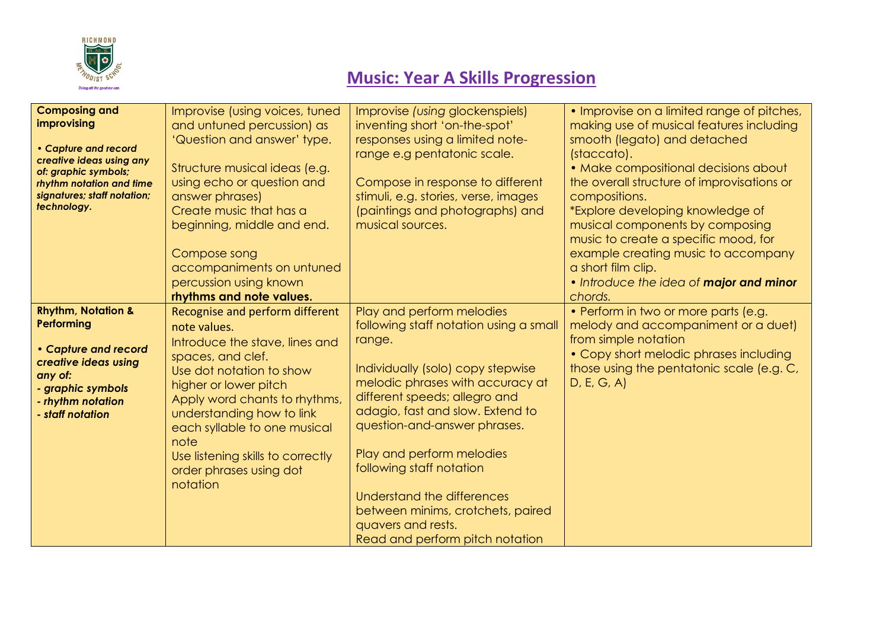

| <b>Composing and</b><br>improvising<br>• Capture and record<br>creative ideas using any<br>of: graphic symbols;<br>rhythm notation and time<br>signatures; staff notation;<br>technology. | Improvise (using voices, tuned<br>and untuned percussion) as<br>'Question and answer' type.<br>Structure musical ideas (e.g.<br>using echo or question and<br>answer phrases)<br>Create music that has a<br>beginning, middle and end.<br>Compose song<br>accompaniments on untuned<br>percussion using known<br>rhythms and note values.     | Improvise (using glockenspiels)<br>inventing short 'on-the-spot'<br>responses using a limited note-<br>range e.g pentatonic scale.<br>Compose in response to different<br>stimuli, e.g. stories, verse, images<br>(paintings and photographs) and<br>musical sources.                                                                                                                                                                            | • Improvise on a limited range of pitches,<br>making use of musical features including<br>smooth (legato) and detached<br>(staccato).<br>• Make compositional decisions about<br>the overall structure of improvisations or<br>compositions.<br>*Explore developing knowledge of<br>musical components by composing<br>music to create a specific mood, for<br>example creating music to accompany<br>a short film clip.<br>• Introduce the idea of major and minor<br>chords. |
|-------------------------------------------------------------------------------------------------------------------------------------------------------------------------------------------|-----------------------------------------------------------------------------------------------------------------------------------------------------------------------------------------------------------------------------------------------------------------------------------------------------------------------------------------------|--------------------------------------------------------------------------------------------------------------------------------------------------------------------------------------------------------------------------------------------------------------------------------------------------------------------------------------------------------------------------------------------------------------------------------------------------|--------------------------------------------------------------------------------------------------------------------------------------------------------------------------------------------------------------------------------------------------------------------------------------------------------------------------------------------------------------------------------------------------------------------------------------------------------------------------------|
| <b>Rhythm, Notation &amp;</b><br><b>Performing</b><br>• Capture and record<br>creative ideas using<br>any of:<br>- graphic symbols<br>- rhythm notation<br>- staff notation               | Recognise and perform different<br>note values.<br>Introduce the stave, lines and<br>spaces, and clef.<br>Use dot notation to show<br>higher or lower pitch<br>Apply word chants to rhythms,<br>understanding how to link<br>each syllable to one musical<br>note<br>Use listening skills to correctly<br>order phrases using dot<br>notation | Play and perform melodies<br>following staff notation using a small<br>range.<br>Individually (solo) copy stepwise<br>melodic phrases with accuracy at<br>different speeds; allegro and<br>adagio, fast and slow. Extend to<br>question-and-answer phrases.<br>Play and perform melodies<br>following staff notation<br>Understand the differences<br>between minims, crotchets, paired<br>quavers and rests.<br>Read and perform pitch notation | • Perform in two or more parts (e.g.<br>melody and accompaniment or a duet)<br>from simple notation<br>• Copy short melodic phrases including<br>those using the pentatonic scale (e.g. C,<br>D, E, G, A                                                                                                                                                                                                                                                                       |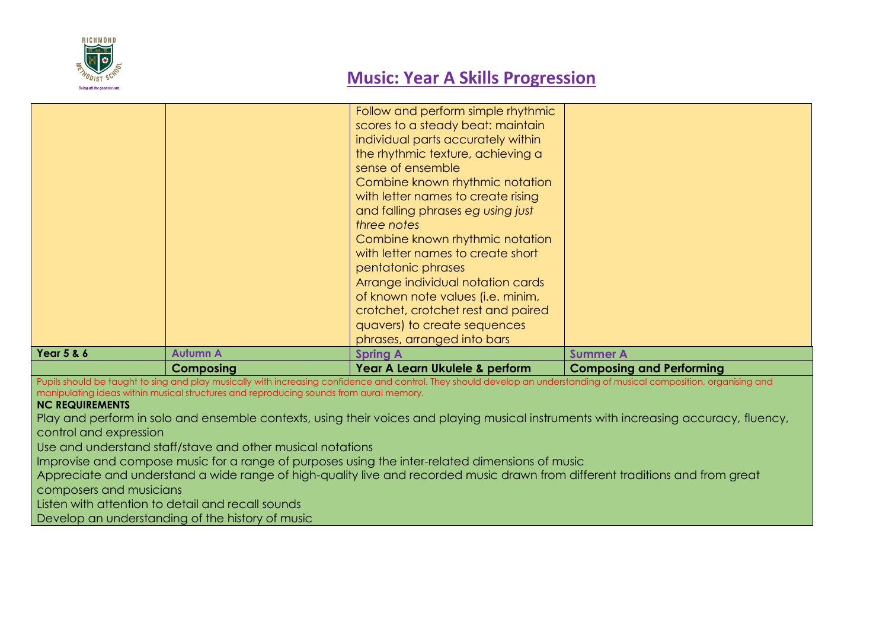

|            |                 | Follow and perform simple rhythmic<br>scores to a steady beat: maintain<br>individual parts accurately within<br>the rhythmic texture, achieving a<br>sense of ensemble<br>Combine known rhythmic notation<br>with letter names to create rising<br>and falling phrases eg using just<br>three notes<br>Combine known rhythmic notation<br>with letter names to create short<br>pentatonic phrases<br>Arrange individual notation cards<br>of known note values (i.e. minim,<br>crotchet, crotchet rest and paired<br>quavers) to create sequences<br>phrases, arranged into bars |                                 |
|------------|-----------------|-----------------------------------------------------------------------------------------------------------------------------------------------------------------------------------------------------------------------------------------------------------------------------------------------------------------------------------------------------------------------------------------------------------------------------------------------------------------------------------------------------------------------------------------------------------------------------------|---------------------------------|
| Year 5 & 6 | <b>Autumn A</b> | <b>Spring A</b>                                                                                                                                                                                                                                                                                                                                                                                                                                                                                                                                                                   | <b>Summer A</b>                 |
|            | Composing       | Year A Learn Ukulele & perform                                                                                                                                                                                                                                                                                                                                                                                                                                                                                                                                                    | <b>Composing and Performing</b> |

Pupils should be taught to sing and play musically with increasing confidence and control. They should develop an understanding of musical composition, organising and manipulating ideas within musical structures and reproducing sounds from aural memory.

### **NC REQUIREMENTS**

Play and perform in solo and ensemble contexts, using their voices and playing musical instruments with increasing accuracy, fluency, control and expression

Use and understand staff/stave and other musical notations

Improvise and compose music for a range of purposes using the inter-related dimensions of music

Appreciate and understand a wide range of high-quality live and recorded music drawn from different traditions and from great composers and musicians

Listen with attention to detail and recall sounds

Develop an understanding of the history of music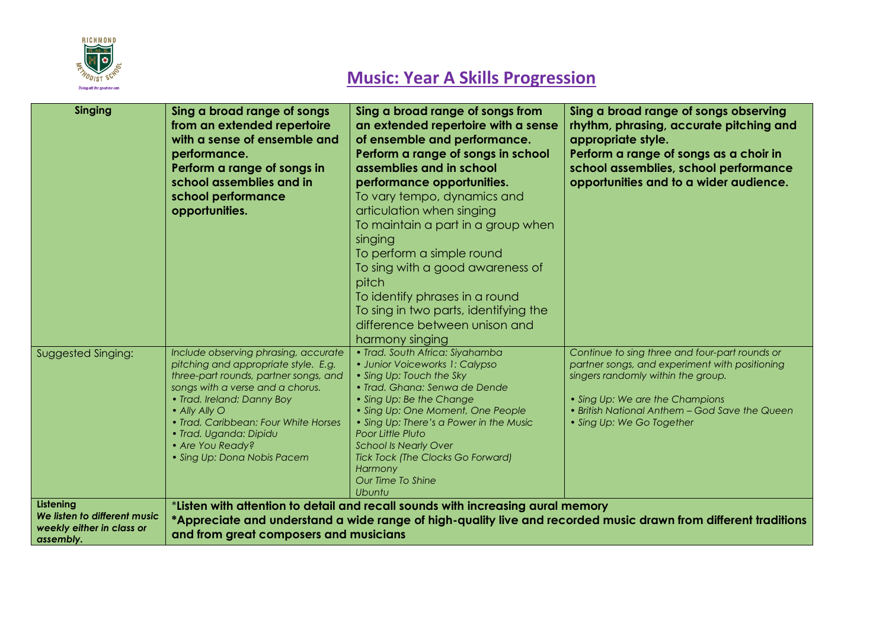

| Singing                                                                             | Sing a broad range of songs<br>from an extended repertoire<br>with a sense of ensemble and<br>performance.<br>Perform a range of songs in<br>school assemblies and in<br>school performance<br>opportunities.                                                                                                                 | Sing a broad range of songs from<br>an extended repertoire with a sense<br>of ensemble and performance.<br>Perform a range of songs in school<br>assemblies and in school<br>performance opportunities.<br>To vary tempo, dynamics and<br>articulation when singing<br>To maintain a part in a group when<br>singing<br>To perform a simple round<br>To sing with a good awareness of<br>pitch<br>To identify phrases in a round<br>To sing in two parts, identifying the<br>difference between unison and<br>harmony singing | Sing a broad range of songs observing<br>rhythm, phrasing, accurate pitching and<br>appropriate style.<br>Perform a range of songs as a choir in<br>school assemblies, school performance<br>opportunities and to a wider audience.                      |
|-------------------------------------------------------------------------------------|-------------------------------------------------------------------------------------------------------------------------------------------------------------------------------------------------------------------------------------------------------------------------------------------------------------------------------|-------------------------------------------------------------------------------------------------------------------------------------------------------------------------------------------------------------------------------------------------------------------------------------------------------------------------------------------------------------------------------------------------------------------------------------------------------------------------------------------------------------------------------|----------------------------------------------------------------------------------------------------------------------------------------------------------------------------------------------------------------------------------------------------------|
| Suggested Singing:                                                                  | Include observing phrasing, accurate<br>pitching and appropriate style. E.g.<br>three-part rounds, partner songs, and<br>songs with a verse and a chorus.<br>• Trad. Ireland: Danny Boy<br>• Ally Ally O<br>• Trad. Caribbean: Four White Horses<br>· Trad. Uganda: Dipidu<br>• Are You Ready?<br>· Sing Up: Dona Nobis Pacem | · Trad. South Africa: Siyahamba<br>· Junior Voiceworks 1: Calypso<br>• Sing Up: Touch the Sky<br>· Trad. Ghana: Senwa de Dende<br>• Sing Up: Be the Change<br>• Sing Up: One Moment, One People<br>• Sing Up: There's a Power in the Music<br>Poor Little Pluto<br><b>School Is Nearly Over</b><br><b>Tick Tock (The Clocks Go Forward)</b><br>Harmony<br>Our Time To Shine<br>Ubuntu                                                                                                                                         | Continue to sing three and four-part rounds or<br>partner songs, and experiment with positioning<br>singers randomly within the group.<br>• Sing Up: We are the Champions<br>• British National Anthem - God Save the Queen<br>• Sing Up: We Go Together |
| Listening<br>We listen to different music<br>weekly either in class or<br>assembly. | and from great composers and musicians                                                                                                                                                                                                                                                                                        | *Listen with attention to detail and recall sounds with increasing aural memory                                                                                                                                                                                                                                                                                                                                                                                                                                               | *Appreciate and understand a wide range of high-quality live and recorded music drawn from different traditions                                                                                                                                          |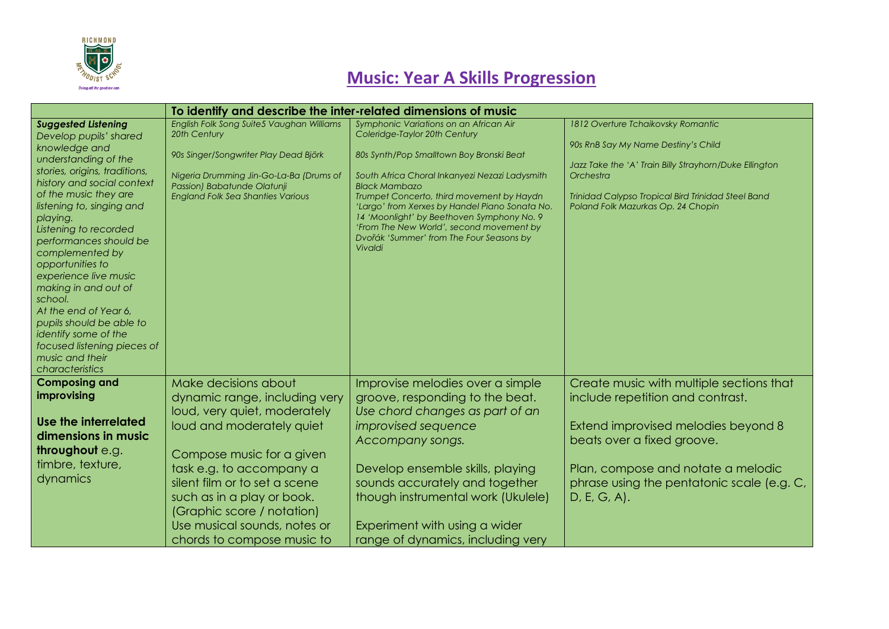

| To identify and describe the inter-related dimensions of music                                                                                                                                                                                                                                                                                                                                                                                                                                                                         |                                                                                                                                                                                                                                                                                                                                        |                                                                                                                                                                                                                                                                                                                                                                                                                                               |                                                                                                                                                                                                                                                          |
|----------------------------------------------------------------------------------------------------------------------------------------------------------------------------------------------------------------------------------------------------------------------------------------------------------------------------------------------------------------------------------------------------------------------------------------------------------------------------------------------------------------------------------------|----------------------------------------------------------------------------------------------------------------------------------------------------------------------------------------------------------------------------------------------------------------------------------------------------------------------------------------|-----------------------------------------------------------------------------------------------------------------------------------------------------------------------------------------------------------------------------------------------------------------------------------------------------------------------------------------------------------------------------------------------------------------------------------------------|----------------------------------------------------------------------------------------------------------------------------------------------------------------------------------------------------------------------------------------------------------|
| <b>Suggested Listening</b><br>Develop pupils' shared<br>knowledge and<br>understanding of the<br>stories, origins, traditions,<br>history and social context<br>of the music they are<br>listening to, singing and<br>playing.<br>Listening to recorded<br>performances should be<br>complemented by<br>opportunities to<br>experience live music<br>making in and out of<br>school.<br>At the end of Year 6,<br>pupils should be able to<br>identify some of the<br>focused listening pieces of<br>music and their<br>characteristics | English Folk Song Suite5 Vaughan Williams<br>20th Century<br>90s Singer/Songwriter Play Dead Björk<br>Nigeria Drumming Jin-Go-La-Ba (Drums of<br>Passion) Babatunde Olatunji<br><b>England Folk Sea Shanties Various</b>                                                                                                               | Symphonic Variations on an African Air<br>Coleridge-Taylor 20th Century<br>80s Synth/Pop Smalltown Boy Bronski Beat<br>South Africa Choral Inkanyezi Nezazi Ladysmith<br><b>Black Mambazo</b><br>Trumpet Concerto, third movement by Haydn<br>'Largo' from Xerxes by Handel Piano Sonata No.<br>14 'Moonlight' by Beethoven Symphony No. 9<br>'From The New World', second movement by<br>Dvořák 'Summer' from The Four Seasons by<br>Vivaldi | 1812 Overture Tchaikovsky Romantic<br>90s RnB Say My Name Destiny's Child<br>Jazz Take the 'A' Train Billy Strayhorn/Duke Ellington<br>Orchestra<br>Trinidad Calypso Tropical Bird Trinidad Steel Band<br>Poland Folk Mazurkas Op. 24 Chopin             |
| <b>Composing and</b><br>improvising<br>Use the interrelated<br>dimensions in music<br>throughout e.g.<br>timbre, texture,<br>dynamics                                                                                                                                                                                                                                                                                                                                                                                                  | Make decisions about<br>dynamic range, including very<br>loud, very quiet, moderately<br>loud and moderately quiet<br>Compose music for a given<br>task e.g. to accompany a<br>silent film or to set a scene<br>such as in a play or book.<br>(Graphic score / notation)<br>Use musical sounds, notes or<br>chords to compose music to | Improvise melodies over a simple<br>groove, responding to the beat.<br>Use chord changes as part of an<br><i>improvised sequence</i><br>Accompany songs.<br>Develop ensemble skills, playing<br>sounds accurately and together<br>though instrumental work (Ukulele)<br>Experiment with using a wider<br>range of dynamics, including very                                                                                                    | Create music with multiple sections that<br>include repetition and contrast.<br>Extend improvised melodies beyond 8<br>beats over a fixed groove.<br>Plan, compose and notate a melodic<br>phrase using the pentatonic scale (e.g. C,<br>$D, E, G, A$ ). |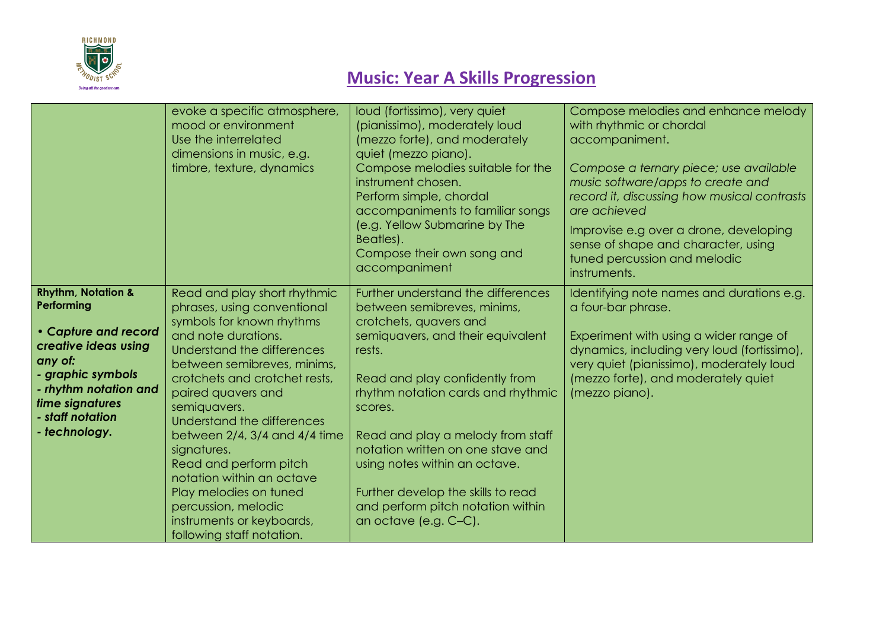

|                                                                                                                                                                                                              | evoke a specific atmosphere,<br>mood or environment<br>Use the interrelated<br>dimensions in music, e.g.<br>timbre, texture, dynamics                                                                                                                                                                                                                                                                                                                                                                      | loud (fortissimo), very quiet<br>(pianissimo), moderately loud<br>(mezzo forte), and moderately<br>quiet (mezzo piano).<br>Compose melodies suitable for the<br>instrument chosen.<br>Perform simple, chordal<br>accompaniments to familiar songs<br>(e.g. Yellow Submarine by The<br>Beatles).<br>Compose their own song and<br>accompaniment                                                                                               | Compose melodies and enhance melody<br>with rhythmic or chordal<br>accompaniment.<br>Compose a ternary piece; use available<br>music software/apps to create and<br>record it, discussing how musical contrasts<br>are achieved<br>Improvise e.g over a drone, developing<br>sense of shape and character, using<br>tuned percussion and melodic<br>instruments. |
|--------------------------------------------------------------------------------------------------------------------------------------------------------------------------------------------------------------|------------------------------------------------------------------------------------------------------------------------------------------------------------------------------------------------------------------------------------------------------------------------------------------------------------------------------------------------------------------------------------------------------------------------------------------------------------------------------------------------------------|----------------------------------------------------------------------------------------------------------------------------------------------------------------------------------------------------------------------------------------------------------------------------------------------------------------------------------------------------------------------------------------------------------------------------------------------|------------------------------------------------------------------------------------------------------------------------------------------------------------------------------------------------------------------------------------------------------------------------------------------------------------------------------------------------------------------|
| <b>Rhythm, Notation &amp;</b><br>Performing<br>• Capture and record<br>creative ideas using<br>any of:<br>- graphic symbols<br>- rhythm notation and<br>time signatures<br>- staff notation<br>- technology. | Read and play short rhythmic<br>phrases, using conventional<br>symbols for known rhythms<br>and note durations.<br>Understand the differences<br>between semibreves, minims,<br>crotchets and crotchet rests,<br>paired quavers and<br>semiguavers.<br>Understand the differences<br>between $2/4$ , $3/4$ and $4/4$ time<br>signatures.<br>Read and perform pitch<br>notation within an octave<br>Play melodies on tuned<br>percussion, melodic<br>instruments or keyboards,<br>following staff notation. | Further understand the differences<br>between semibreves, minims,<br>crotchets, quavers and<br>semiguavers, and their equivalent<br>rests.<br>Read and play confidently from<br>rhythm notation cards and rhythmic<br>scores.<br>Read and play a melody from staff<br>notation written on one stave and<br>using notes within an octave.<br>Further develop the skills to read<br>and perform pitch notation within<br>an octave (e.g. C-C). | Identifying note names and durations e.g.<br>a four-bar phrase.<br>Experiment with using a wider range of<br>dynamics, including very loud (fortissimo),<br>very quiet (pianissimo), moderately loud<br>(mezzo forte), and moderately quiet<br>(mezzo piano).                                                                                                    |